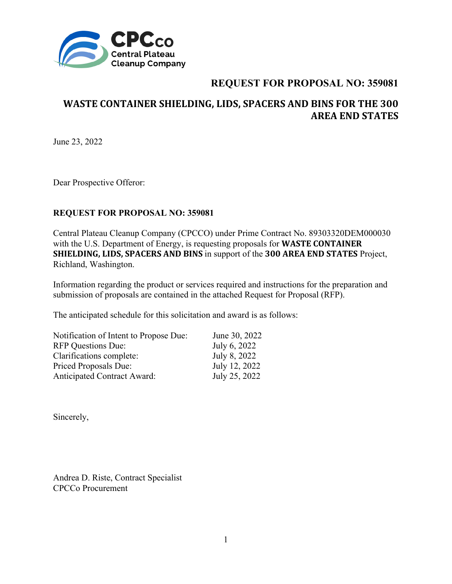

# **WASTE CONTAINER SHIELDING, LIDS, SPACERS AND BINS FOR THE 300 AREA END STATES**

June 23, 2022

Dear Prospective Offeror:

### **REQUEST FOR PROPOSAL NO: 359081**

Central Plateau Cleanup Company (CPCCO) under Prime Contract No. 89303320DEM000030 with the U.S. Department of Energy, is requesting proposals for **WASTE CONTAINER SHIELDING, LIDS, SPACERS AND BINS** in support of the **300 AREA END STATES** Project, Richland, Washington.

Information regarding the product or services required and instructions for the preparation and submission of proposals are contained in the attached Request for Proposal (RFP).

The anticipated schedule for this solicitation and award is as follows:

| Notification of Intent to Propose Due: | June 30, 2022 |
|----------------------------------------|---------------|
| <b>RFP</b> Questions Due:              | July 6, 2022  |
| Clarifications complete:               | July 8, 2022  |
| <b>Priced Proposals Due:</b>           | July 12, 2022 |
| <b>Anticipated Contract Award:</b>     | July 25, 2022 |

Sincerely,

Andrea D. Riste, Contract Specialist CPCCo Procurement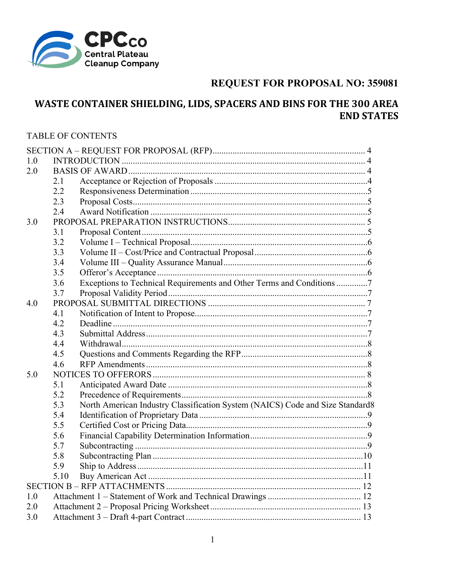

# WASTE CONTAINER SHIELDING, LIDS, SPACERS AND BINS FOR THE 300 AREA **END STATES**

### **TABLE OF CONTENTS**

| 1.0 |      |                                                                               |  |
|-----|------|-------------------------------------------------------------------------------|--|
| 2.0 |      |                                                                               |  |
|     | 2.1  |                                                                               |  |
|     | 2.2  |                                                                               |  |
|     | 2.3  |                                                                               |  |
|     | 2.4  |                                                                               |  |
| 3.0 |      |                                                                               |  |
|     | 3.1  |                                                                               |  |
|     | 3.2  |                                                                               |  |
|     | 3.3  |                                                                               |  |
|     | 3.4  |                                                                               |  |
|     | 3.5  |                                                                               |  |
|     | 3.6  | Exceptions to Technical Requirements and Other Terms and Conditions 7         |  |
|     | 3.7  |                                                                               |  |
| 4.0 |      |                                                                               |  |
|     | 4.1  |                                                                               |  |
|     | 4.2  |                                                                               |  |
|     | 4.3  |                                                                               |  |
|     | 4.4  |                                                                               |  |
|     | 4.5  |                                                                               |  |
|     | 4.6  |                                                                               |  |
| 5.0 |      |                                                                               |  |
|     | 5.1  |                                                                               |  |
|     | 5.2  |                                                                               |  |
|     | 5.3  | North American Industry Classification System (NAICS) Code and Size Standard8 |  |
|     | 5.4  |                                                                               |  |
|     | 5.5  |                                                                               |  |
|     | 5.6  |                                                                               |  |
|     | 5.7  |                                                                               |  |
|     | 5.8  |                                                                               |  |
|     | 5.9  |                                                                               |  |
|     | 5.10 |                                                                               |  |
|     |      |                                                                               |  |
| 1.0 |      |                                                                               |  |
| 2.0 |      |                                                                               |  |
| 3.0 |      |                                                                               |  |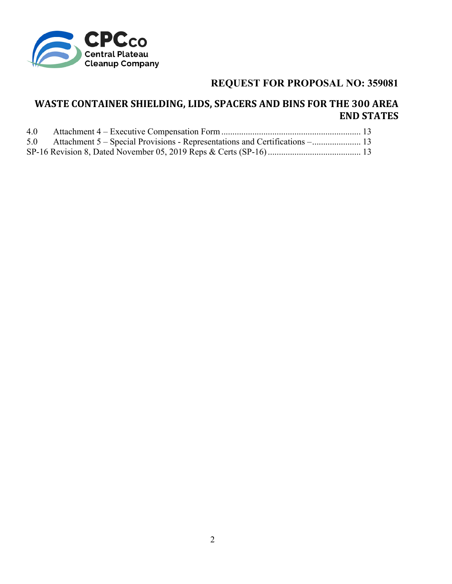

# **WASTE CONTAINER SHIELDING, LIDS, SPACERS AND BINS FOR THE 300 AREA END STATES**

| 5.0 Attachment 5 – Special Provisions - Representations and Certifications – |  |
|------------------------------------------------------------------------------|--|
|                                                                              |  |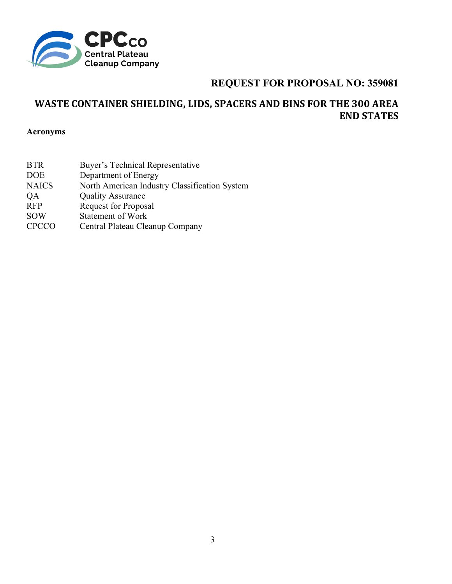

# **WASTE CONTAINER SHIELDING, LIDS, SPACERS AND BINS FOR THE 300 AREA END STATES**

**Acronyms** 

| <b>BTR</b>   | Buyer's Technical Representative              |
|--------------|-----------------------------------------------|
| <b>DOE</b>   | Department of Energy                          |
| <b>NAICS</b> | North American Industry Classification System |
| QA           | <b>Quality Assurance</b>                      |
| <b>RFP</b>   | <b>Request for Proposal</b>                   |
| <b>SOW</b>   | <b>Statement of Work</b>                      |
| <b>CPCCO</b> | Central Plateau Cleanup Company               |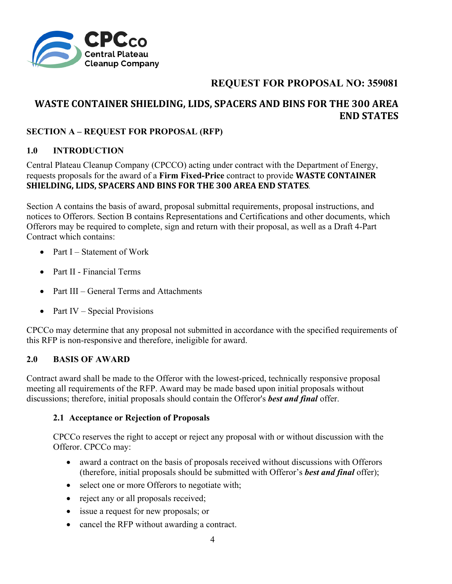

# **WASTE CONTAINER SHIELDING, LIDS, SPACERS AND BINS FOR THE 300 AREA END STATES**

## **SECTION A – REQUEST FOR PROPOSAL (RFP)**

## **1.0 INTRODUCTION**

Central Plateau Cleanup Company (CPCCO) acting under contract with the Department of Energy, requests proposals for the award of a **Firm Fixed-Price** contract to provide **WASTE CONTAINER SHIELDING, LIDS, SPACERS AND BINS FOR THE 300 AREA END STATES***.* 

Section A contains the basis of award, proposal submittal requirements, proposal instructions, and notices to Offerors. Section B contains Representations and Certifications and other documents, which Offerors may be required to complete, sign and return with their proposal, as well as a Draft 4-Part Contract which contains:

- Part  $I -$  Statement of Work
- Part II Financial Terms
- Part III General Terms and Attachments
- Part IV Special Provisions

CPCCo may determine that any proposal not submitted in accordance with the specified requirements of this RFP is non-responsive and therefore, ineligible for award.

### **2.0 BASIS OF AWARD**

Contract award shall be made to the Offeror with the lowest-priced, technically responsive proposal meeting all requirements of the RFP. Award may be made based upon initial proposals without discussions; therefore, initial proposals should contain the Offeror's *best and final* offer.

### **2.1 Acceptance or Rejection of Proposals**

CPCCo reserves the right to accept or reject any proposal with or without discussion with the Offeror. CPCCo may:

- award a contract on the basis of proposals received without discussions with Offerors (therefore, initial proposals should be submitted with Offeror's *best and final* offer);
- select one or more Offerors to negotiate with;
- reject any or all proposals received;
- issue a request for new proposals; or
- cancel the RFP without awarding a contract.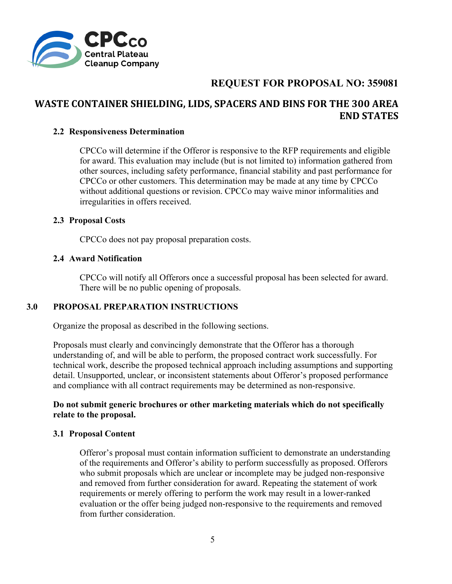

# **WASTE CONTAINER SHIELDING, LIDS, SPACERS AND BINS FOR THE 300 AREA END STATES**

#### **2.2 Responsiveness Determination**

CPCCo will determine if the Offeror is responsive to the RFP requirements and eligible for award. This evaluation may include (but is not limited to) information gathered from other sources, including safety performance, financial stability and past performance for CPCCo or other customers. This determination may be made at any time by CPCCo without additional questions or revision. CPCCo may waive minor informalities and irregularities in offers received.

#### **2.3 Proposal Costs**

CPCCo does not pay proposal preparation costs.

#### **2.4 Award Notification**

CPCCo will notify all Offerors once a successful proposal has been selected for award. There will be no public opening of proposals.

### **3.0 PROPOSAL PREPARATION INSTRUCTIONS**

Organize the proposal as described in the following sections.

Proposals must clearly and convincingly demonstrate that the Offeror has a thorough understanding of, and will be able to perform, the proposed contract work successfully. For technical work, describe the proposed technical approach including assumptions and supporting detail. Unsupported, unclear, or inconsistent statements about Offeror's proposed performance and compliance with all contract requirements may be determined as non-responsive.

### **Do not submit generic brochures or other marketing materials which do not specifically relate to the proposal.**

### **3.1 Proposal Content**

Offeror's proposal must contain information sufficient to demonstrate an understanding of the requirements and Offeror's ability to perform successfully as proposed. Offerors who submit proposals which are unclear or incomplete may be judged non-responsive and removed from further consideration for award. Repeating the statement of work requirements or merely offering to perform the work may result in a lower-ranked evaluation or the offer being judged non-responsive to the requirements and removed from further consideration.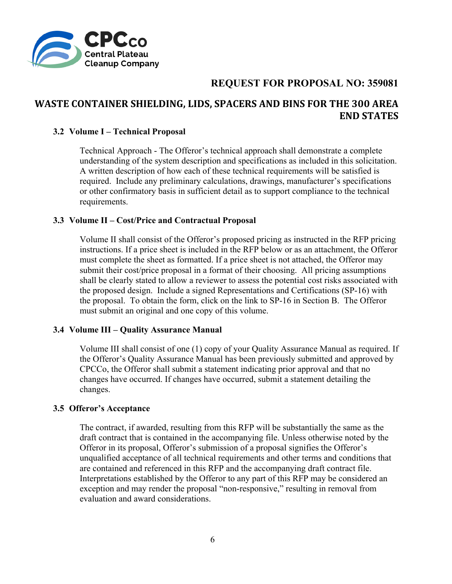

# **WASTE CONTAINER SHIELDING, LIDS, SPACERS AND BINS FOR THE 300 AREA END STATES**

#### **3.2 Volume I – Technical Proposal**

Technical Approach - The Offeror's technical approach shall demonstrate a complete understanding of the system description and specifications as included in this solicitation. A written description of how each of these technical requirements will be satisfied is required. Include any preliminary calculations, drawings, manufacturer's specifications or other confirmatory basis in sufficient detail as to support compliance to the technical requirements.

#### **3.3 Volume II – Cost/Price and Contractual Proposal**

Volume II shall consist of the Offeror's proposed pricing as instructed in the RFP pricing instructions. If a price sheet is included in the RFP below or as an attachment, the Offeror must complete the sheet as formatted. If a price sheet is not attached, the Offeror may submit their cost/price proposal in a format of their choosing. All pricing assumptions shall be clearly stated to allow a reviewer to assess the potential cost risks associated with the proposed design. Include a signed Representations and Certifications (SP-16) with the proposal. To obtain the form, click on the link to SP-16 in Section B. The Offeror must submit an original and one copy of this volume.

### **3.4 Volume III – Quality Assurance Manual**

Volume III shall consist of one (1) copy of your Quality Assurance Manual as required. If the Offeror's Quality Assurance Manual has been previously submitted and approved by CPCCo, the Offeror shall submit a statement indicating prior approval and that no changes have occurred. If changes have occurred, submit a statement detailing the changes.

#### **3.5 Offeror's Acceptance**

The contract, if awarded, resulting from this RFP will be substantially the same as the draft contract that is contained in the accompanying file. Unless otherwise noted by the Offeror in its proposal, Offeror's submission of a proposal signifies the Offeror's unqualified acceptance of all technical requirements and other terms and conditions that are contained and referenced in this RFP and the accompanying draft contract file. Interpretations established by the Offeror to any part of this RFP may be considered an exception and may render the proposal "non-responsive," resulting in removal from evaluation and award considerations.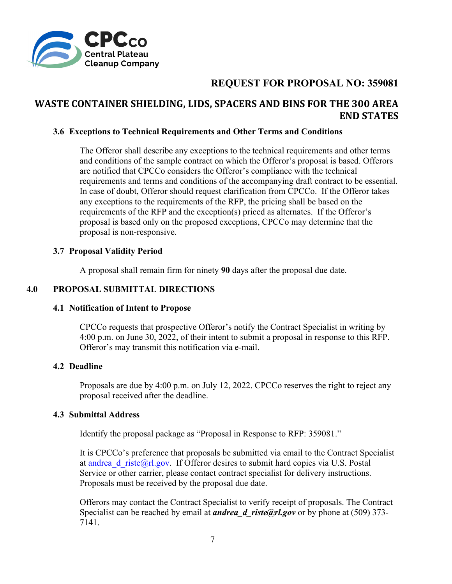

## **WASTE CONTAINER SHIELDING, LIDS, SPACERS AND BINS FOR THE 300 AREA END STATES**

### **3.6 Exceptions to Technical Requirements and Other Terms and Conditions**

The Offeror shall describe any exceptions to the technical requirements and other terms and conditions of the sample contract on which the Offeror's proposal is based. Offerors are notified that CPCCo considers the Offeror's compliance with the technical requirements and terms and conditions of the accompanying draft contract to be essential. In case of doubt, Offeror should request clarification from CPCCo. If the Offeror takes any exceptions to the requirements of the RFP, the pricing shall be based on the requirements of the RFP and the exception(s) priced as alternates. If the Offeror's proposal is based only on the proposed exceptions, CPCCo may determine that the proposal is non-responsive.

### **3.7 Proposal Validity Period**

A proposal shall remain firm for ninety **90** days after the proposal due date.

### **4.0 PROPOSAL SUBMITTAL DIRECTIONS**

### **4.1 Notification of Intent to Propose**

CPCCo requests that prospective Offeror's notify the Contract Specialist in writing by 4:00 p.m. on June 30, 2022, of their intent to submit a proposal in response to this RFP. Offeror's may transmit this notification via e-mail.

#### **4.2 Deadline**

Proposals are due by 4:00 p.m. on July 12, 2022. CPCCo reserves the right to reject any proposal received after the deadline.

#### **4.3 Submittal Address**

Identify the proposal package as "Proposal in Response to RFP: 359081."

It is CPCCo's preference that proposals be submitted via email to the Contract Specialist at andrea d riste@rl.gov. If Offeror desires to submit hard copies via U.S. Postal Service or other carrier, please contact contract specialist for delivery instructions. Proposals must be received by the proposal due date.

Offerors may contact the Contract Specialist to verify receipt of proposals. The Contract Specialist can be reached by email at *andrea d* riste@rl.gov or by phone at (509) 373-7141.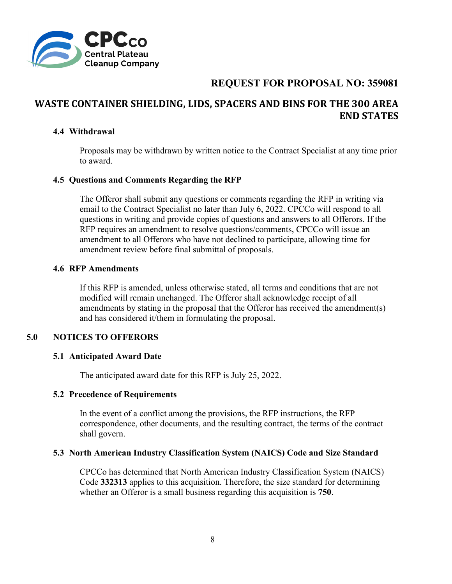

# **WASTE CONTAINER SHIELDING, LIDS, SPACERS AND BINS FOR THE 300 AREA END STATES**

### **4.4 Withdrawal**

Proposals may be withdrawn by written notice to the Contract Specialist at any time prior to award.

### **4.5 Questions and Comments Regarding the RFP**

The Offeror shall submit any questions or comments regarding the RFP in writing via email to the Contract Specialist no later than July 6, 2022. CPCCo will respond to all questions in writing and provide copies of questions and answers to all Offerors. If the RFP requires an amendment to resolve questions/comments, CPCCo will issue an amendment to all Offerors who have not declined to participate, allowing time for amendment review before final submittal of proposals.

#### **4.6 RFP Amendments**

If this RFP is amended, unless otherwise stated, all terms and conditions that are not modified will remain unchanged. The Offeror shall acknowledge receipt of all amendments by stating in the proposal that the Offeror has received the amendment(s) and has considered it/them in formulating the proposal.

### **5.0 NOTICES TO OFFERORS**

### **5.1 Anticipated Award Date**

The anticipated award date for this RFP is July 25, 2022.

### **5.2 Precedence of Requirements**

In the event of a conflict among the provisions, the RFP instructions, the RFP correspondence, other documents, and the resulting contract, the terms of the contract shall govern.

#### **5.3 North American Industry Classification System (NAICS) Code and Size Standard**

CPCCo has determined that North American Industry Classification System (NAICS) Code **332313** applies to this acquisition. Therefore, the size standard for determining whether an Offeror is a small business regarding this acquisition is **750**.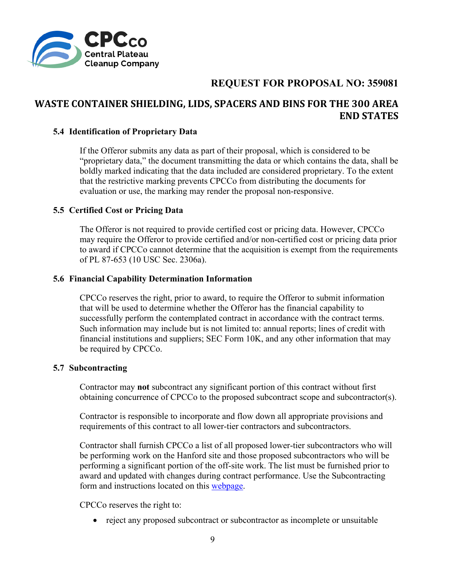

# **WASTE CONTAINER SHIELDING, LIDS, SPACERS AND BINS FOR THE 300 AREA END STATES**

### **5.4 Identification of Proprietary Data**

If the Offeror submits any data as part of their proposal, which is considered to be "proprietary data," the document transmitting the data or which contains the data, shall be boldly marked indicating that the data included are considered proprietary. To the extent that the restrictive marking prevents CPCCo from distributing the documents for evaluation or use, the marking may render the proposal non-responsive.

### **5.5 Certified Cost or Pricing Data**

The Offeror is not required to provide certified cost or pricing data. However, CPCCo may require the Offeror to provide certified and/or non-certified cost or pricing data prior to award if CPCCo cannot determine that the acquisition is exempt from the requirements of PL 87-653 (10 USC Sec. 2306a).

### **5.6 Financial Capability Determination Information**

CPCCo reserves the right, prior to award, to require the Offeror to submit information that will be used to determine whether the Offeror has the financial capability to successfully perform the contemplated contract in accordance with the contract terms. Such information may include but is not limited to: annual reports; lines of credit with financial institutions and suppliers; SEC Form 10K, and any other information that may be required by CPCCo.

### **5.7 Subcontracting**

Contractor may **not** subcontract any significant portion of this contract without first obtaining concurrence of CPCCo to the proposed subcontract scope and subcontractor(s).

Contractor is responsible to incorporate and flow down all appropriate provisions and requirements of this contract to all lower-tier contractors and subcontractors.

Contractor shall furnish CPCCo a list of all proposed lower-tier subcontractors who will be performing work on the Hanford site and those proposed subcontractors who will be performing a significant portion of the off-site work. The list must be furnished prior to award and updated with changes during contract performance. Use the Subcontracting form and instructions located on this webpage.

CPCCo reserves the right to:

• reject any proposed subcontract or subcontractor as incomplete or unsuitable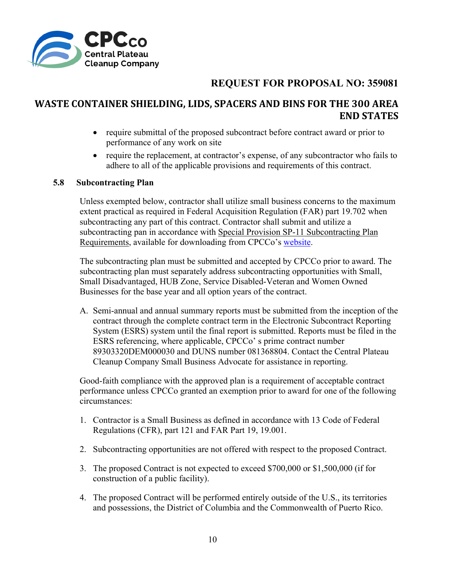

## **WASTE CONTAINER SHIELDING, LIDS, SPACERS AND BINS FOR THE 300 AREA END STATES**

- require submittal of the proposed subcontract before contract award or prior to performance of any work on site
- require the replacement, at contractor's expense, of any subcontractor who fails to adhere to all of the applicable provisions and requirements of this contract.

### **5.8 Subcontracting Plan**

Unless exempted below, contractor shall utilize small business concerns to the maximum extent practical as required in Federal Acquisition Regulation (FAR) part 19.702 when subcontracting any part of this contract. Contractor shall submit and utilize a subcontracting pan in accordance with Special Provision SP-11 Subcontracting Plan Requirements, available for downloading from CPCCo's website.

The subcontracting plan must be submitted and accepted by CPCCo prior to award. The subcontracting plan must separately address subcontracting opportunities with Small, Small Disadvantaged, HUB Zone, Service Disabled-Veteran and Women Owned Businesses for the base year and all option years of the contract.

A. Semi-annual and annual summary reports must be submitted from the inception of the contract through the complete contract term in the Electronic Subcontract Reporting System (ESRS) system until the final report is submitted. Reports must be filed in the ESRS referencing, where applicable, CPCCo' s prime contract number 89303320DEM000030 and DUNS number 081368804. Contact the Central Plateau Cleanup Company Small Business Advocate for assistance in reporting.

Good-faith compliance with the approved plan is a requirement of acceptable contract performance unless CPCCo granted an exemption prior to award for one of the following circumstances:

- 1. Contractor is a Small Business as defined in accordance with 13 Code of Federal Regulations (CFR), part 121 and FAR Part 19, 19.001.
- 2. Subcontracting opportunities are not offered with respect to the proposed Contract.
- 3. The proposed Contract is not expected to exceed \$700,000 or \$1,500,000 (if for construction of a public facility).
- 4. The proposed Contract will be performed entirely outside of the U.S., its territories and possessions, the District of Columbia and the Commonwealth of Puerto Rico.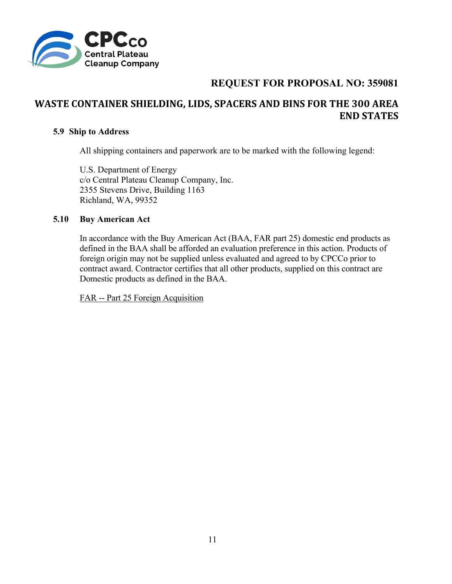

# **WASTE CONTAINER SHIELDING, LIDS, SPACERS AND BINS FOR THE 300 AREA END STATES**

### **5.9 Ship to Address**

All shipping containers and paperwork are to be marked with the following legend:

U.S. Department of Energy c/o Central Plateau Cleanup Company, Inc. 2355 Stevens Drive, Building 1163 Richland, WA, 99352

### **5.10 Buy American Act**

In accordance with the Buy American Act (BAA, FAR part 25) domestic end products as defined in the BAA shall be afforded an evaluation preference in this action. Products of foreign origin may not be supplied unless evaluated and agreed to by CPCCo prior to contract award. Contractor certifies that all other products, supplied on this contract are Domestic products as defined in the BAA.

FAR -- Part 25 Foreign Acquisition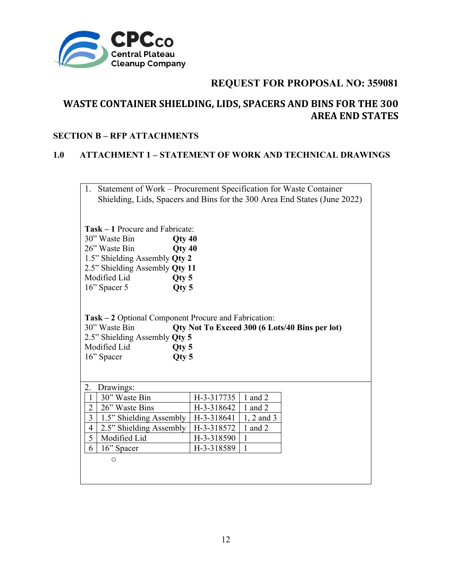

# **WASTE CONTAINER SHIELDING, LIDS, SPACERS AND BINS FOR THE 300 AREA END STATES**

### **SECTION B – RFP ATTACHMENTS**

### **1.0 ATTACHMENT 1 – STATEMENT OF WORK AND TECHNICAL DRAWINGS**

| 1.             | Statement of Work - Procurement Specification for Waste Container<br>Shielding, Lids, Spacers and Bins for the 300 Area End States (June 2022)                                                |                                |                |                                                |
|----------------|-----------------------------------------------------------------------------------------------------------------------------------------------------------------------------------------------|--------------------------------|----------------|------------------------------------------------|
|                | <b>Task – 1 Procure and Fabricate:</b><br>30" Waste Bin<br>26" Waste Bin<br>1.5" Shielding Assembly Qty 2<br>2.5" Shielding Assembly Qty 11<br>Modified Lid<br>Qty 5<br>16" Spacer 5<br>Qty 5 | $Q$ ty 40<br>Qty <sub>40</sub> |                |                                                |
|                | Task – 2 Optional Component Procure and Fabrication:<br>30" Waste Bin<br>2.5" Shielding Assembly Qty 5<br>Modified Lid<br>Qty 5<br>16" Spacer<br>Qty 5                                        |                                |                | Qty Not To Exceed 300 (6 Lots/40 Bins per lot) |
|                |                                                                                                                                                                                               |                                |                |                                                |
|                |                                                                                                                                                                                               |                                |                |                                                |
| 2.<br>-1       | Drawings:<br>30" Waste Bin                                                                                                                                                                    | H-3-317735                     | 1 and $2$      |                                                |
| $\overline{2}$ | 26" Waste Bins                                                                                                                                                                                | H-3-318642                     | 1 and 2        |                                                |
| 3              | 1.5" Shielding Assembly                                                                                                                                                                       | H-3-318641                     | $1, 2$ and $3$ |                                                |
| $\overline{4}$ | 2.5" Shielding Assembly                                                                                                                                                                       | H-3-318572                     | $1$ and $2$    |                                                |
| 5              | Modified Lid                                                                                                                                                                                  | H-3-318590                     | $\mathbf{1}$   |                                                |
| 6              | 16" Spacer                                                                                                                                                                                    | H-3-318589                     | 1              |                                                |
|                | $\circ$                                                                                                                                                                                       |                                |                |                                                |